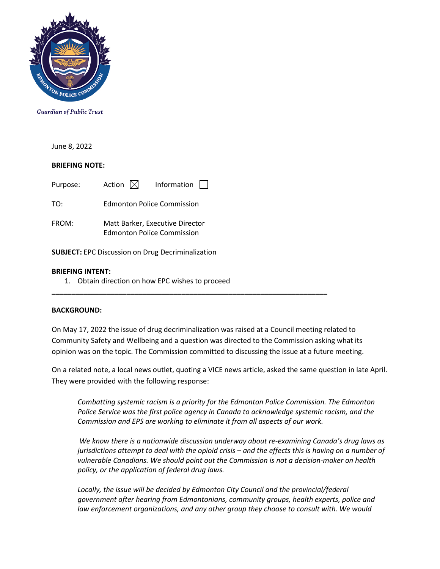

**Guardian of Public Trust** 

June 8, 2022

### **BRIEFING NOTE:**

Purpose: Action  $\boxtimes$  Information  $\Box$ TO: Edmonton Police Commission FROM: Matt Barker, Executive Director Edmonton Police Commission **SUBJECT:** EPC Discussion on Drug Decriminalization

#### **BRIEFING INTENT:**

1. Obtain direction on how EPC wishes to proceed

#### **BACKGROUND:**

On May 17, 2022 the issue of drug decriminalization was raised at a Council meeting related to Community Safety and Wellbeing and a question was directed to the Commission asking what its opinion was on the topic. The Commission committed to discussing the issue at a future meeting.

**\_\_\_\_\_\_\_\_\_\_\_\_\_\_\_\_\_\_\_\_\_\_\_\_\_\_\_\_\_\_\_\_\_\_\_\_\_\_\_\_\_\_\_\_\_\_\_\_\_\_\_\_\_\_\_\_\_\_\_\_\_\_\_\_\_\_\_\_\_\_**

On a related note, a local news outlet, quoting a VICE news article, asked the same question in late April. They were provided with the following response:

*Combatting systemic racism is a priority for the Edmonton Police Commission. The Edmonton Police Service was the first police agency in Canada to acknowledge systemic racism, and the Commission and EPS are working to eliminate it from all aspects of our work.*

*We know there is a nationwide discussion underway about re-examining Canada's drug laws as jurisdictions attempt to deal with the opioid crisis – and the effects this is having on a number of vulnerable Canadians. We should point out the Commission is not a decision-maker on health policy, or the application of federal drug laws.* 

Locally, the issue will be decided by Edmonton City Council and the provincial/federal *government after hearing from Edmontonians, community groups, health experts, police and law enforcement organizations, and any other group they choose to consult with. We would*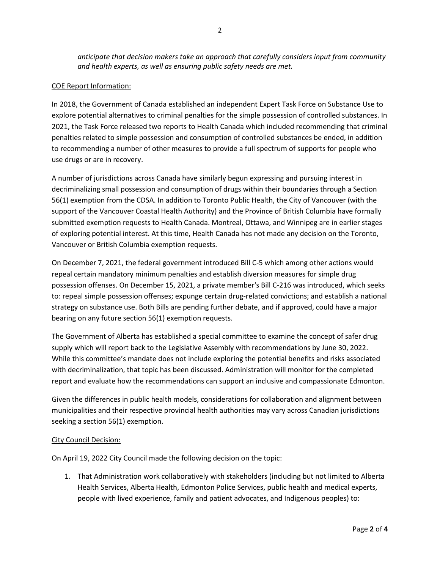*anticipate that decision makers take an approach that carefully considers input from community and health experts, as well as ensuring public safety needs are met.*

### COE Report Information:

In 2018, the Government of Canada established an independent Expert Task Force on Substance Use to explore potential alternatives to criminal penalties for the simple possession of controlled substances. In 2021, the Task Force released two reports to Health Canada which included recommending that criminal penalties related to simple possession and consumption of controlled substances be ended, in addition to recommending a number of other measures to provide a full spectrum of supports for people who use drugs or are in recovery.

A number of jurisdictions across Canada have similarly begun expressing and pursuing interest in decriminalizing small possession and consumption of drugs within their boundaries through a Section 56(1) exemption from the CDSA. In addition to Toronto Public Health, the City of Vancouver (with the support of the Vancouver Coastal Health Authority) and the Province of British Columbia have formally submitted exemption requests to Health Canada. Montreal, Ottawa, and Winnipeg are in earlier stages of exploring potential interest. At this time, Health Canada has not made any decision on the Toronto, Vancouver or British Columbia exemption requests.

On December 7, 2021, the federal government introduced Bill C-5 which among other actions would repeal certain mandatory minimum penalties and establish diversion measures for simple drug possession offenses. On December 15, 2021, a private member's Bill C-216 was introduced, which seeks to: repeal simple possession offenses; expunge certain drug-related convictions; and establish a national strategy on substance use. Both Bills are pending further debate, and if approved, could have a major bearing on any future section 56(1) exemption requests.

The Government of Alberta has established a special committee to examine the concept of safer drug supply which will report back to the Legislative Assembly with recommendations by June 30, 2022. While this committee's mandate does not include exploring the potential benefits and risks associated with decriminalization, that topic has been discussed. Administration will monitor for the completed report and evaluate how the recommendations can support an inclusive and compassionate Edmonton.

Given the differences in public health models, considerations for collaboration and alignment between municipalities and their respective provincial health authorities may vary across Canadian jurisdictions seeking a section 56(1) exemption.

#### City Council Decision:

On April 19, 2022 City Council made the following decision on the topic:

1. That Administration work collaboratively with stakeholders (including but not limited to Alberta Health Services, Alberta Health, Edmonton Police Services, public health and medical experts, people with lived experience, family and patient advocates, and Indigenous peoples) to: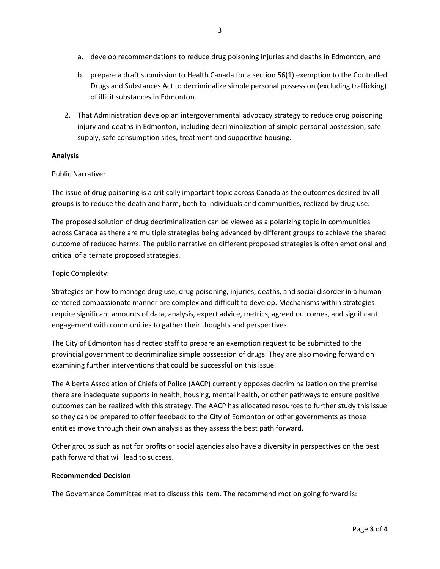- a. develop recommendations to reduce drug poisoning injuries and deaths in Edmonton, and
- b. prepare a draft submission to Health Canada for a section 56(1) exemption to the Controlled Drugs and Substances Act to decriminalize simple personal possession (excluding trafficking) of illicit substances in Edmonton.
- 2. That Administration develop an intergovernmental advocacy strategy to reduce drug poisoning injury and deaths in Edmonton, including decriminalization of simple personal possession, safe supply, safe consumption sites, treatment and supportive housing.

## **Analysis**

# Public Narrative:

The issue of drug poisoning is a critically important topic across Canada as the outcomes desired by all groups is to reduce the death and harm, both to individuals and communities, realized by drug use.

The proposed solution of drug decriminalization can be viewed as a polarizing topic in communities across Canada as there are multiple strategies being advanced by different groups to achieve the shared outcome of reduced harms. The public narrative on different proposed strategies is often emotional and critical of alternate proposed strategies.

# Topic Complexity:

Strategies on how to manage drug use, drug poisoning, injuries, deaths, and social disorder in a human centered compassionate manner are complex and difficult to develop. Mechanisms within strategies require significant amounts of data, analysis, expert advice, metrics, agreed outcomes, and significant engagement with communities to gather their thoughts and perspectives.

The City of Edmonton has directed staff to prepare an exemption request to be submitted to the provincial government to decriminalize simple possession of drugs. They are also moving forward on examining further interventions that could be successful on this issue.

The Alberta Association of Chiefs of Police (AACP) currently opposes decriminalization on the premise there are inadequate supports in health, housing, mental health, or other pathways to ensure positive outcomes can be realized with this strategy. The AACP has allocated resources to further study this issue so they can be prepared to offer feedback to the City of Edmonton or other governments as those entities move through their own analysis as they assess the best path forward.

Other groups such as not for profits or social agencies also have a diversity in perspectives on the best path forward that will lead to success.

## **Recommended Decision**

The Governance Committee met to discuss this item. The recommend motion going forward is: